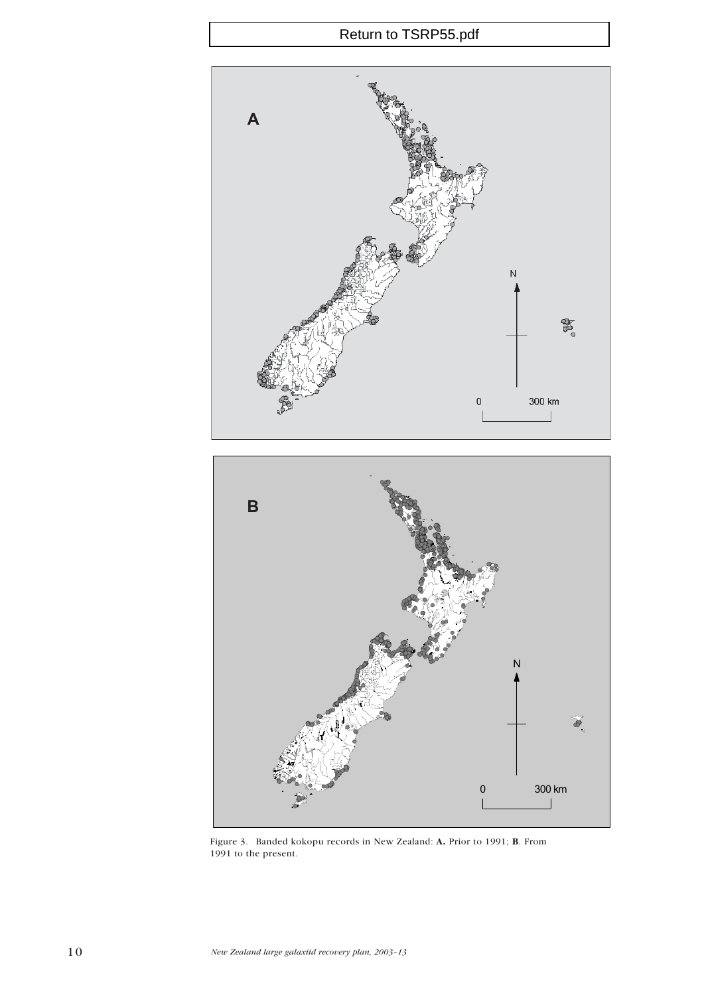

Figure 3. Banded kokopu records in New Zealand: A. Prior to 1991; B. From 1991 to the present.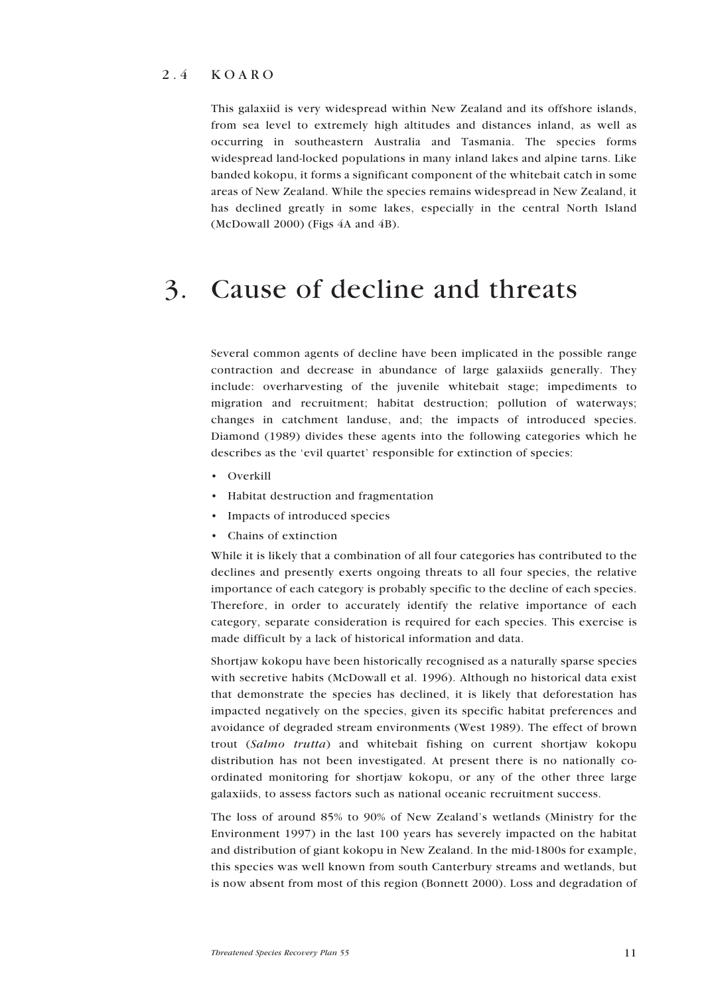#### 2.4 KOARO

This galaxiid is very widespread within New Zealand and its offshore islands, from sea level to extremely high altitudes and distances inland, as well as occurring in southeastern Australia and Tasmania. The species forms widespread land-locked populations in many inland lakes and alpine tarns. Like banded kokopu, it forms a significant component of the whitebait catch in some areas of New Zealand. While the species remains widespread in New Zealand, it has declined greatly in some lakes, especially in the central North Island (McDowall 2000) (Figs 4A and 4B).

## 3. Cause of decline and threats

Several common agents of decline have been implicated in the possible range contraction and decrease in abundance of large galaxiids generally. They include: overharvesting of the juvenile whitebait stage; impediments to migration and recruitment; habitat destruction; pollution of waterways; changes in catchment landuse, and; the impacts of introduced species. Diamond (1989) divides these agents into the following categories which he describes as the 'evil quartet' responsible for extinction of species:

- Overkill
- Habitat destruction and fragmentation
- Impacts of introduced species
- Chains of extinction

While it is likely that a combination of all four categories has contributed to the declines and presently exerts ongoing threats to all four species, the relative importance of each category is probably specific to the decline of each species. Therefore, in order to accurately identify the relative importance of each category, separate consideration is required for each species. This exercise is made difficult by a lack of historical information and data.

Shortjaw kokopu have been historically recognised as a naturally sparse species with secretive habits (McDowall et al. 1996). Although no historical data exist that demonstrate the species has declined, it is likely that deforestation has impacted negatively on the species, given its specific habitat preferences and avoidance of degraded stream environments (West 1989). The effect of brown trout (*Salmo trutta*) and whitebait fishing on current shortjaw kokopu distribution has not been investigated. At present there is no nationally coordinated monitoring for shortjaw kokopu, or any of the other three large galaxiids, to assess factors such as national oceanic recruitment success.

The loss of around 85% to 90% of New Zealand's wetlands (Ministry for the Environment 1997) in the last 100 years has severely impacted on the habitat and distribution of giant kokopu in New Zealand. In the mid-1800s for example, this species was well known from south Canterbury streams and wetlands, but is now absent from most of this region (Bonnett 2000). Loss and degradation of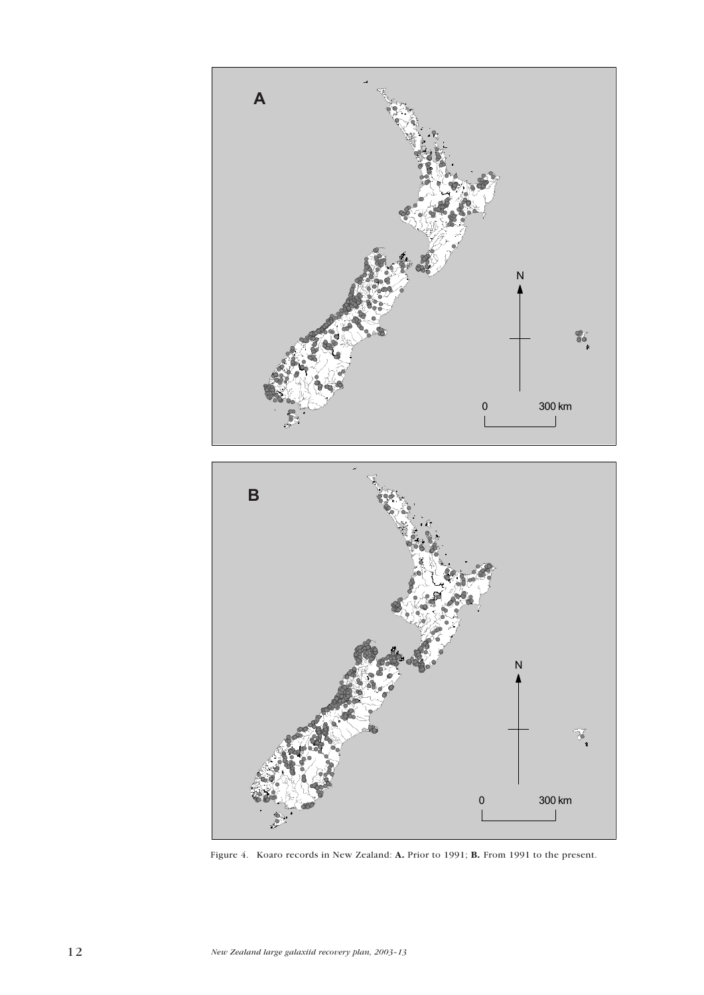

Figure 4. Koaro records in New Zealand: A. Prior to 1991; B. From 1991 to the present.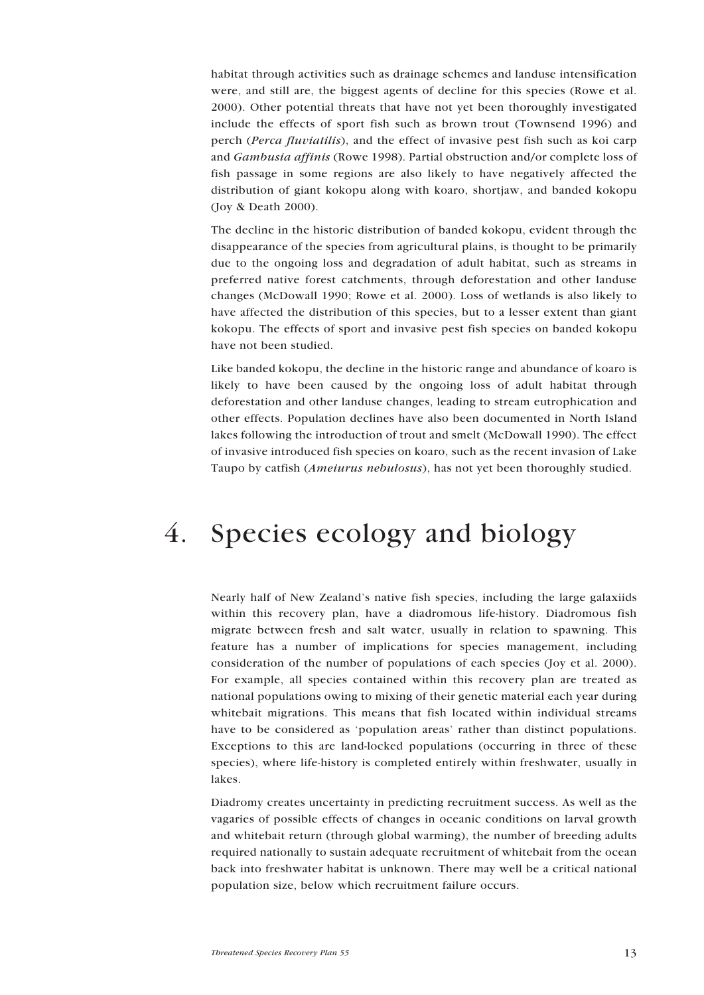habitat through activities such as drainage schemes and landuse intensification were, and still are, the biggest agents of decline for this species (Rowe et al. 2000). Other potential threats that have not yet been thoroughly investigated include the effects of sport fish such as brown trout (Townsend 1996) and perch (*Perca fluviatilis*), and the effect of invasive pest fish such as koi carp and *Gambusia affinis* (Rowe 1998). Partial obstruction and/or complete loss of fish passage in some regions are also likely to have negatively affected the distribution of giant kokopu along with koaro, shortjaw, and banded kokopu (Joy & Death 2000).

The decline in the historic distribution of banded kokopu, evident through the disappearance of the species from agricultural plains, is thought to be primarily due to the ongoing loss and degradation of adult habitat, such as streams in preferred native forest catchments, through deforestation and other landuse changes (McDowall 1990; Rowe et al. 2000). Loss of wetlands is also likely to have affected the distribution of this species, but to a lesser extent than giant kokopu. The effects of sport and invasive pest fish species on banded kokopu have not been studied.

Like banded kokopu, the decline in the historic range and abundance of koaro is likely to have been caused by the ongoing loss of adult habitat through deforestation and other landuse changes, leading to stream eutrophication and other effects. Population declines have also been documented in North Island lakes following the introduction of trout and smelt (McDowall 1990). The effect of invasive introduced fish species on koaro, such as the recent invasion of Lake Taupo by catfish (*Ameiurus nebulosus*), has not yet been thoroughly studied.

## 4. Species ecology and biology

Nearly half of New Zealand's native fish species, including the large galaxiids within this recovery plan, have a diadromous life-history. Diadromous fish migrate between fresh and salt water, usually in relation to spawning. This feature has a number of implications for species management, including consideration of the number of populations of each species (Joy et al. 2000). For example, all species contained within this recovery plan are treated as national populations owing to mixing of their genetic material each year during whitebait migrations. This means that fish located within individual streams have to be considered as 'population areas' rather than distinct populations. Exceptions to this are land-locked populations (occurring in three of these species), where life-history is completed entirely within freshwater, usually in lakes.

Diadromy creates uncertainty in predicting recruitment success. As well as the vagaries of possible effects of changes in oceanic conditions on larval growth and whitebait return (through global warming), the number of breeding adults required nationally to sustain adequate recruitment of whitebait from the ocean back into freshwater habitat is unknown. There may well be a critical national population size, below which recruitment failure occurs.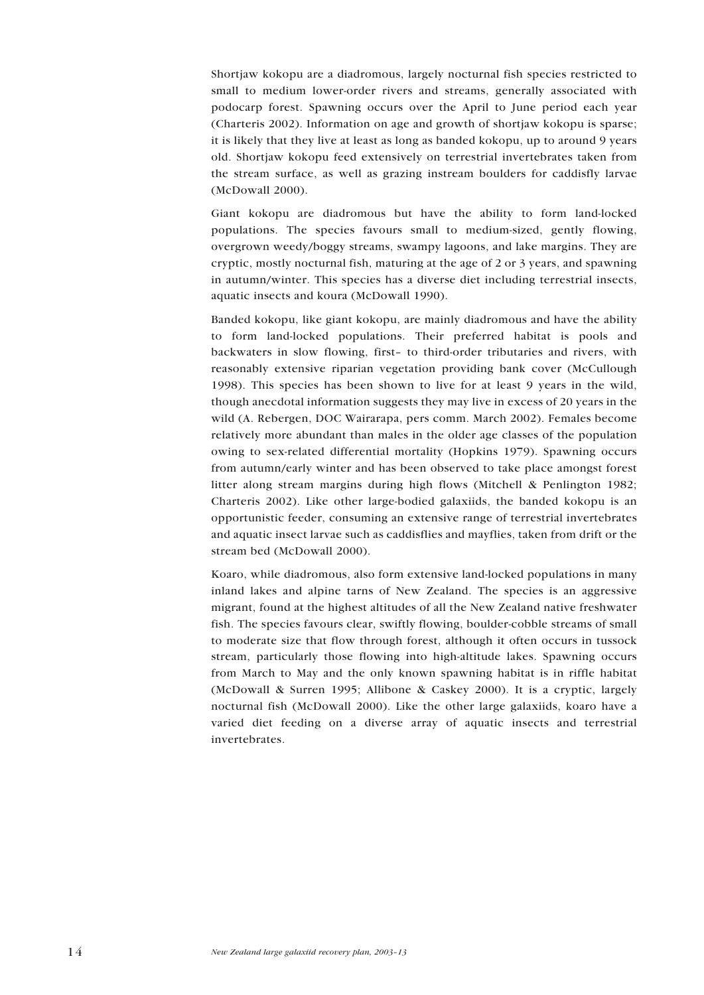Shortjaw kokopu are a diadromous, largely nocturnal fish species restricted to small to medium lower-order rivers and streams, generally associated with podocarp forest. Spawning occurs over the April to June period each year (Charteris 2002). Information on age and growth of shortjaw kokopu is sparse; it is likely that they live at least as long as banded kokopu, up to around 9 years old. Shortjaw kokopu feed extensively on terrestrial invertebrates taken from the stream surface, as well as grazing instream boulders for caddisfly larvae (McDowall 2000).

Giant kokopu are diadromous but have the ability to form land-locked populations. The species favours small to medium-sized, gently flowing, overgrown weedy/boggy streams, swampy lagoons, and lake margins. They are cryptic, mostly nocturnal fish, maturing at the age of 2 or 3 years, and spawning in autumn/winter. This species has a diverse diet including terrestrial insects, aquatic insects and koura (McDowall 1990).

Banded kokopu, like giant kokopu, are mainly diadromous and have the ability to form land-locked populations. Their preferred habitat is pools and backwaters in slow flowing, first– to third-order tributaries and rivers, with reasonably extensive riparian vegetation providing bank cover (McCullough 1998). This species has been shown to live for at least 9 years in the wild, though anecdotal information suggests they may live in excess of 20 years in the wild (A. Rebergen, DOC Wairarapa, pers comm. March 2002). Females become relatively more abundant than males in the older age classes of the population owing to sex-related differential mortality (Hopkins 1979). Spawning occurs from autumn/early winter and has been observed to take place amongst forest litter along stream margins during high flows (Mitchell & Penlington 1982; Charteris 2002). Like other large-bodied galaxiids, the banded kokopu is an opportunistic feeder, consuming an extensive range of terrestrial invertebrates and aquatic insect larvae such as caddisflies and mayflies, taken from drift or the stream bed (McDowall 2000).

Koaro, while diadromous, also form extensive land-locked populations in many inland lakes and alpine tarns of New Zealand. The species is an aggressive migrant, found at the highest altitudes of all the New Zealand native freshwater fish. The species favours clear, swiftly flowing, boulder-cobble streams of small to moderate size that flow through forest, although it often occurs in tussock stream, particularly those flowing into high-altitude lakes. Spawning occurs from March to May and the only known spawning habitat is in riffle habitat (McDowall & Surren 1995; Allibone & Caskey 2000). It is a cryptic, largely nocturnal fish (McDowall 2000). Like the other large galaxiids, koaro have a varied diet feeding on a diverse array of aquatic insects and terrestrial invertebrates.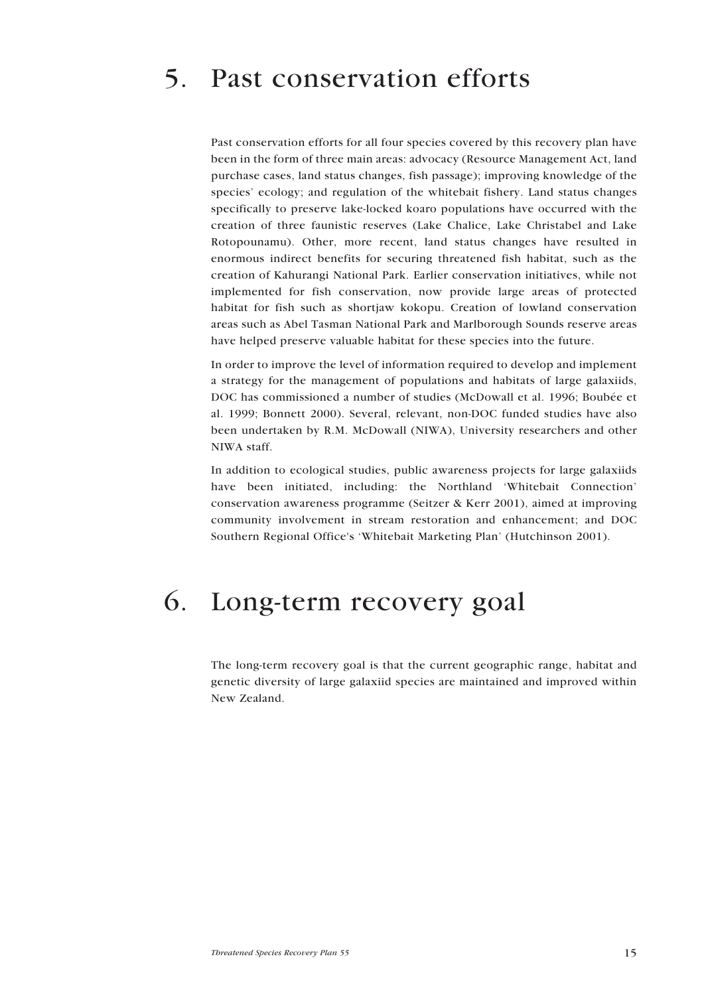## 5. Past conservation efforts

Past conservation efforts for all four species covered by this recovery plan have been in the form of three main areas: advocacy (Resource Management Act, land purchase cases, land status changes, fish passage); improving knowledge of the species' ecology; and regulation of the whitebait fishery. Land status changes specifically to preserve lake-locked koaro populations have occurred with the creation of three faunistic reserves (Lake Chalice, Lake Christabel and Lake Rotopounamu). Other, more recent, land status changes have resulted in enormous indirect benefits for securing threatened fish habitat, such as the creation of Kahurangi National Park. Earlier conservation initiatives, while not implemented for fish conservation, now provide large areas of protected habitat for fish such as shortjaw kokopu. Creation of lowland conservation areas such as Abel Tasman National Park and Marlborough Sounds reserve areas have helped preserve valuable habitat for these species into the future.

In order to improve the level of information required to develop and implement a strategy for the management of populations and habitats of large galaxiids, DOC has commissioned a number of studies (McDowall et al. 1996; Boubée et al. 1999; Bonnett 2000). Several, relevant, non-DOC funded studies have also been undertaken by R.M. McDowall (NIWA), University researchers and other NIWA staff.

In addition to ecological studies, public awareness projects for large galaxiids have been initiated, including: the Northland 'Whitebait Connection' conservation awareness programme (Seitzer & Kerr 2001), aimed at improving community involvement in stream restoration and enhancement; and DOC Southern Regional Office's 'Whitebait Marketing Plan' (Hutchinson 2001).

## 6. Long-term recovery goal

The long-term recovery goal is that the current geographic range, habitat and genetic diversity of large galaxiid species are maintained and improved within New Zealand.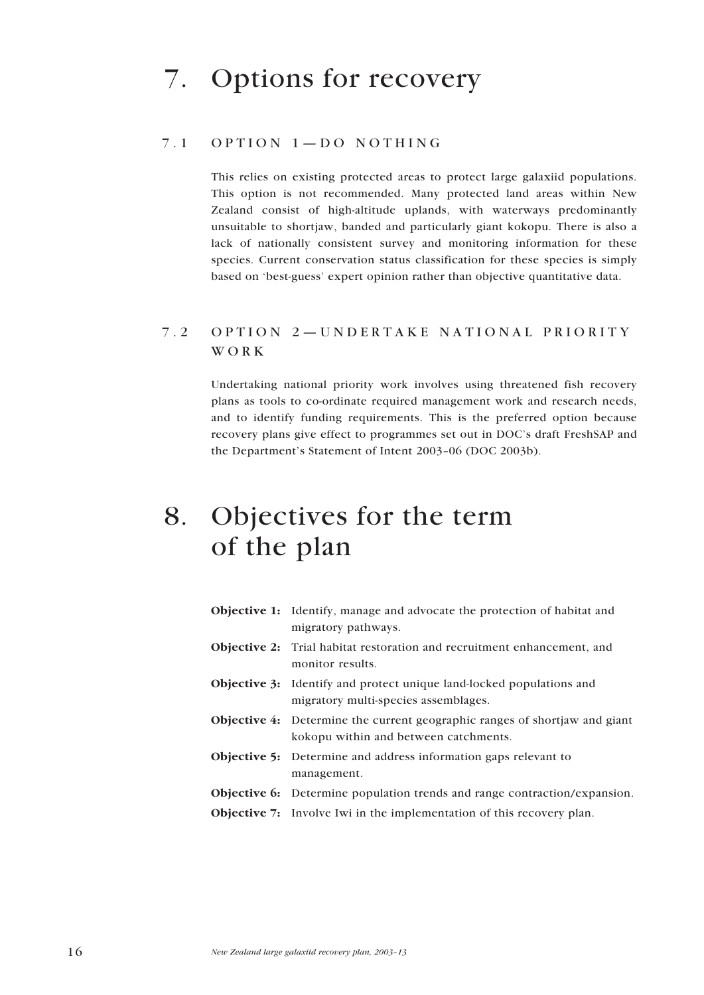### 7.1 OPTION 1—DO NOTHING

This relies on existing protected areas to protect large galaxiid populations. This option is not recommended. Many protected land areas within New Zealand consist of high-altitude uplands, with waterways predominantly unsuitable to shortjaw, banded and particularly giant kokopu. There is also a lack of nationally consistent survey and monitoring information for these species. Current conservation status classification for these species is simply based on 'best-guess' expert opinion rather than objective quantitative data.

### 7.2 OPTION 2—UNDERTAKE NATIONAL PRIORITY WORK

Undertaking national priority work involves using threatened fish recovery plans as tools to co-ordinate required management work and research needs, and to identify funding requirements. This is the preferred option because recovery plans give effect to programmes set out in DOC's draft FreshSAP and the Department's Statement of Intent 2003–06 (DOC 2003b).

## 8. Objectives for the term of the plan

| <b>Objective 1:</b> Identify, manage and advocate the protection of habitat and<br>migratory pathways.                     |
|----------------------------------------------------------------------------------------------------------------------------|
| <b>Objective 2:</b> Trial habitat restoration and recruitment enhancement, and<br>monitor results.                         |
| <b>Objective 3:</b> Identify and protect unique land-locked populations and<br>migratory multi-species assemblages.        |
| <b>Objective 4:</b> Determine the current geographic ranges of shortjaw and giant<br>kokopu within and between catchments. |
| <b>Objective 5:</b> Determine and address information gaps relevant to<br>management.                                      |
| <b>Objective 6:</b> Determine population trends and range contraction/expansion.                                           |
| <b>Objective 7:</b> Involve Iwi in the implementation of this recovery plan.                                               |
|                                                                                                                            |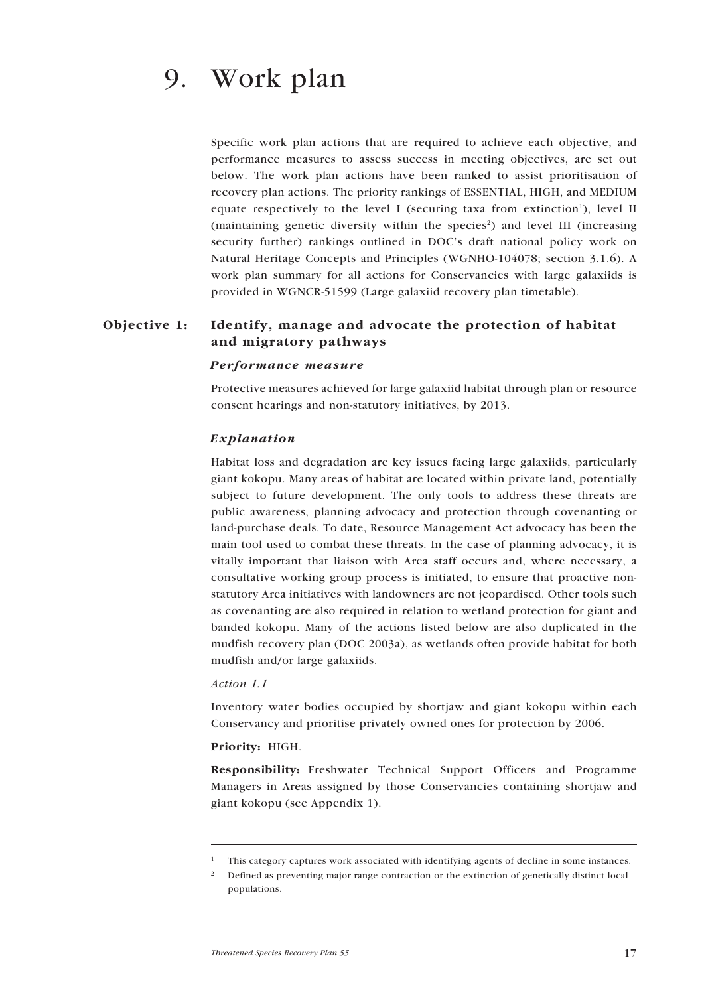Specific work plan actions that are required to achieve each objective, and performance measures to assess success in meeting objectives, are set out below. The work plan actions have been ranked to assist prioritisation of recovery plan actions. The priority rankings of ESSENTIAL, HIGH, and MEDIUM equate respectively to the level I (securing taxa from extinction<sup>1</sup>), level II (maintaining genetic diversity within the species<sup>2</sup>) and level III (increasing security further) rankings outlined in DOC's draft national policy work on Natural Heritage Concepts and Principles (WGNHO-104078; section 3.1.6). A work plan summary for all actions for Conservancies with large galaxiids is provided in WGNCR-51599 (Large galaxiid recovery plan timetable).

### Objective 1: Identify, manage and advocate the protection of habitat and migratory pathways

#### *Performance measure*

Protective measures achieved for large galaxiid habitat through plan or resource consent hearings and non-statutory initiatives, by 2013.

#### *Explanation*

Habitat loss and degradation are key issues facing large galaxiids, particularly giant kokopu. Many areas of habitat are located within private land, potentially subject to future development. The only tools to address these threats are public awareness, planning advocacy and protection through covenanting or land-purchase deals. To date, Resource Management Act advocacy has been the main tool used to combat these threats. In the case of planning advocacy, it is vitally important that liaison with Area staff occurs and, where necessary, a consultative working group process is initiated, to ensure that proactive nonstatutory Area initiatives with landowners are not jeopardised. Other tools such as covenanting are also required in relation to wetland protection for giant and banded kokopu. Many of the actions listed below are also duplicated in the mudfish recovery plan (DOC 2003a), as wetlands often provide habitat for both mudfish and/or large galaxiids.

#### *Action 1.1*

Inventory water bodies occupied by shortjaw and giant kokopu within each Conservancy and prioritise privately owned ones for protection by 2006.

#### Priority: HIGH.

Responsibility: Freshwater Technical Support Officers and Programme Managers in Areas assigned by those Conservancies containing shortjaw and giant kokopu (see Appendix 1).

<sup>1</sup> This category captures work associated with identifying agents of decline in some instances.

<sup>&</sup>lt;sup>2</sup> Defined as preventing major range contraction or the extinction of genetically distinct local populations.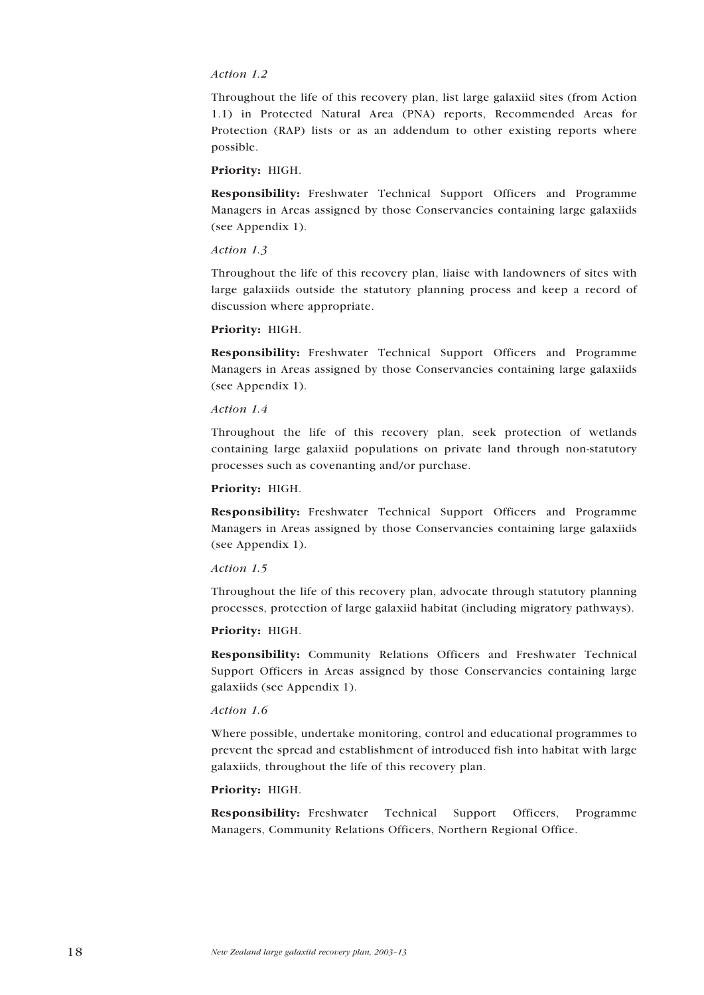#### *Action 1.2*

Throughout the life of this recovery plan, list large galaxiid sites (from Action 1.1) in Protected Natural Area (PNA) reports, Recommended Areas for Protection (RAP) lists or as an addendum to other existing reports where possible.

#### Priority: HIGH.

Responsibility: Freshwater Technical Support Officers and Programme Managers in Areas assigned by those Conservancies containing large galaxiids (see Appendix 1).

#### *Action 1.3*

Throughout the life of this recovery plan, liaise with landowners of sites with large galaxiids outside the statutory planning process and keep a record of discussion where appropriate.

#### Priority: HIGH.

Responsibility: Freshwater Technical Support Officers and Programme Managers in Areas assigned by those Conservancies containing large galaxiids (see Appendix 1).

#### *Action 1.4*

Throughout the life of this recovery plan, seek protection of wetlands containing large galaxiid populations on private land through non-statutory processes such as covenanting and/or purchase.

#### Priority: HIGH.

Responsibility: Freshwater Technical Support Officers and Programme Managers in Areas assigned by those Conservancies containing large galaxiids (see Appendix 1).

#### *Action 1.5*

Throughout the life of this recovery plan, advocate through statutory planning processes, protection of large galaxiid habitat (including migratory pathways).

#### Priority: HIGH.

Responsibility: Community Relations Officers and Freshwater Technical Support Officers in Areas assigned by those Conservancies containing large galaxiids (see Appendix 1).

#### *Action 1.6*

Where possible, undertake monitoring, control and educational programmes to prevent the spread and establishment of introduced fish into habitat with large galaxiids, throughout the life of this recovery plan.

#### Priority: HIGH.

Responsibility: Freshwater Technical Support Officers, Programme Managers, Community Relations Officers, Northern Regional Office.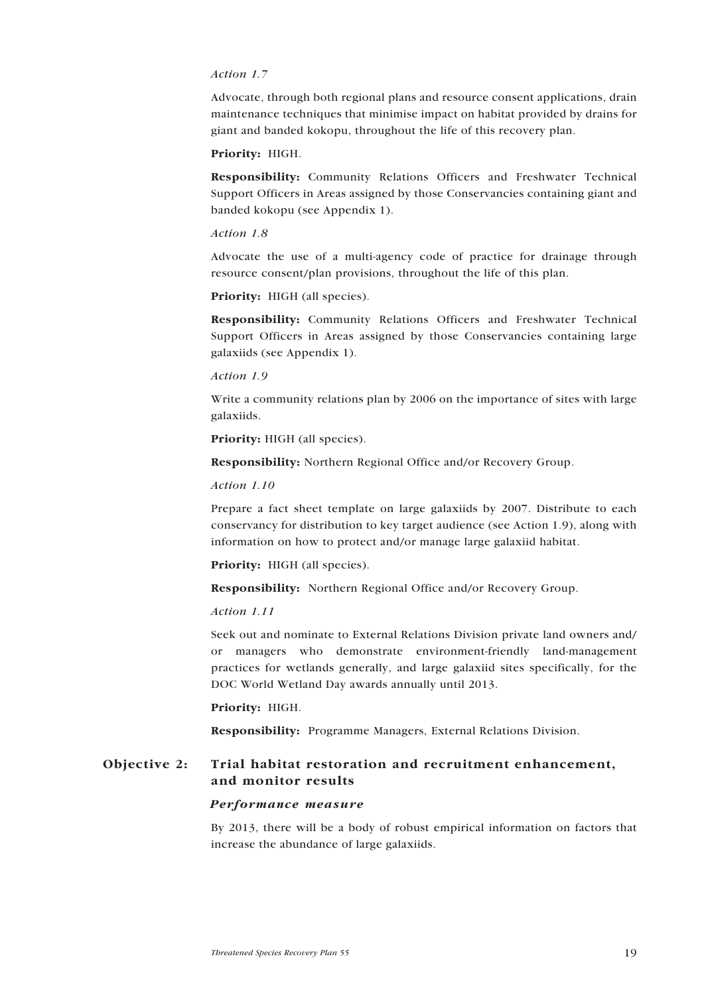#### *Action 1.7*

Advocate, through both regional plans and resource consent applications, drain maintenance techniques that minimise impact on habitat provided by drains for giant and banded kokopu, throughout the life of this recovery plan.

#### Priority: HIGH.

Responsibility: Community Relations Officers and Freshwater Technical Support Officers in Areas assigned by those Conservancies containing giant and banded kokopu (see Appendix 1).

#### *Action 1.8*

Advocate the use of a multi-agency code of practice for drainage through resource consent/plan provisions, throughout the life of this plan.

Priority: HIGH (all species).

Responsibility: Community Relations Officers and Freshwater Technical Support Officers in Areas assigned by those Conservancies containing large galaxiids (see Appendix 1).

#### *Action 1.9*

Write a community relations plan by 2006 on the importance of sites with large galaxiids.

Priority: HIGH (all species).

Responsibility: Northern Regional Office and/or Recovery Group.

#### *Action 1.10*

Prepare a fact sheet template on large galaxiids by 2007. Distribute to each conservancy for distribution to key target audience (see Action 1.9), along with information on how to protect and/or manage large galaxiid habitat.

Priority: HIGH (all species).

Responsibility: Northern Regional Office and/or Recovery Group.

#### *Action 1.11*

Seek out and nominate to External Relations Division private land owners and/ or managers who demonstrate environment-friendly land-management practices for wetlands generally, and large galaxiid sites specifically, for the DOC World Wetland Day awards annually until 2013.

#### Priority: HIGH.

Responsibility: Programme Managers, External Relations Division.

### Objective 2: Trial habitat restoration and recruitment enhancement, and monitor results

#### *Performance measure*

By 2013, there will be a body of robust empirical information on factors that increase the abundance of large galaxiids.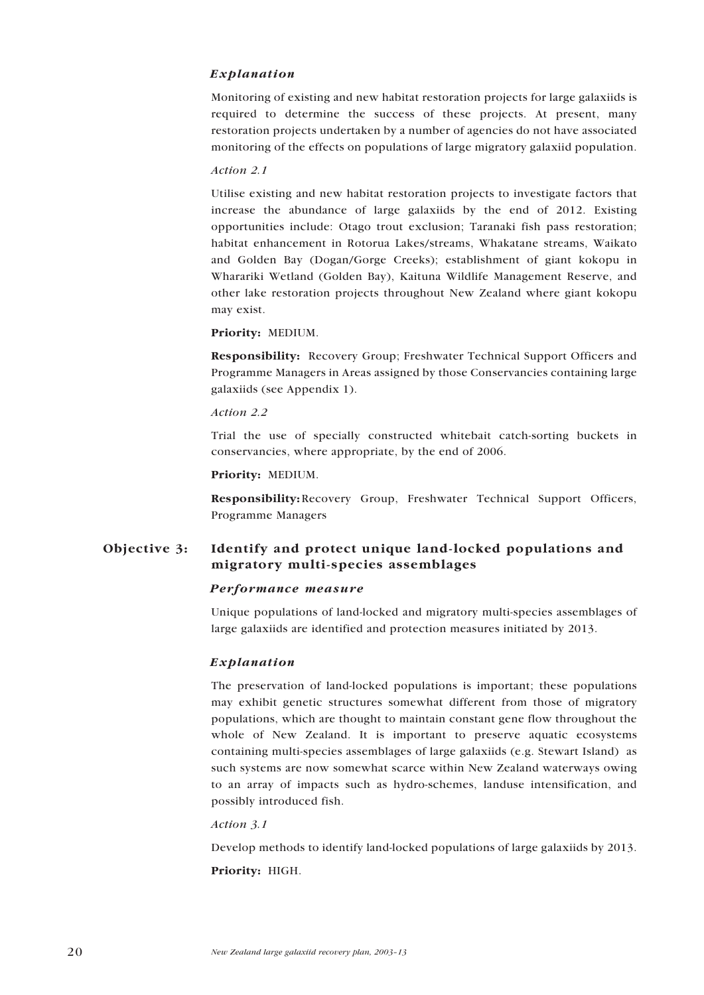#### *Explanation*

Monitoring of existing and new habitat restoration projects for large galaxiids is required to determine the success of these projects. At present, many restoration projects undertaken by a number of agencies do not have associated monitoring of the effects on populations of large migratory galaxiid population.

#### *Action 2.1*

Utilise existing and new habitat restoration projects to investigate factors that increase the abundance of large galaxiids by the end of 2012. Existing opportunities include: Otago trout exclusion; Taranaki fish pass restoration; habitat enhancement in Rotorua Lakes/streams, Whakatane streams, Waikato and Golden Bay (Dogan/Gorge Creeks); establishment of giant kokopu in Wharariki Wetland (Golden Bay), Kaituna Wildlife Management Reserve, and other lake restoration projects throughout New Zealand where giant kokopu may exist.

#### Priority: MEDIUM.

Responsibility: Recovery Group; Freshwater Technical Support Officers and Programme Managers in Areas assigned by those Conservancies containing large galaxiids (see Appendix 1).

#### *Action 2.2*

Trial the use of specially constructed whitebait catch-sorting buckets in conservancies, where appropriate, by the end of 2006.

#### **Priority:** MEDIUM.

**Responsibility:**Recovery Group, Freshwater Technical Support Officers, Programme Managers

### Objective 3: Identify and protect unique land-locked populations and migratory multi-species assemblages

#### *Performance measure*

Unique populations of land-locked and migratory multi-species assemblages of large galaxiids are identified and protection measures initiated by 2013.

#### *Explanation*

The preservation of land-locked populations is important; these populations may exhibit genetic structures somewhat different from those of migratory populations, which are thought to maintain constant gene flow throughout the whole of New Zealand. It is important to preserve aquatic ecosystems containing multi-species assemblages of large galaxiids (e.g. Stewart Island) as such systems are now somewhat scarce within New Zealand waterways owing to an array of impacts such as hydro-schemes, landuse intensification, and possibly introduced fish.

#### *Action 3.1*

Develop methods to identify land-locked populations of large galaxiids by 2013. Priority: HIGH.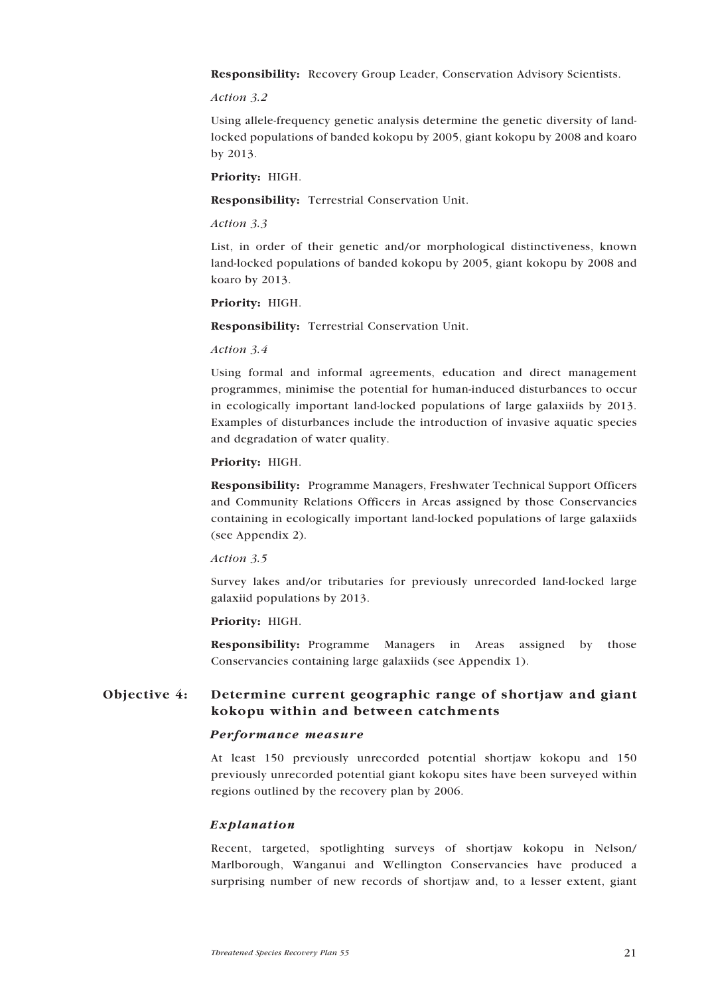Responsibility: Recovery Group Leader, Conservation Advisory Scientists.

#### *Action 3.2*

Using allele-frequency genetic analysis determine the genetic diversity of landlocked populations of banded kokopu by 2005, giant kokopu by 2008 and koaro by 2013.

Priority: HIGH.

Responsibility: Terrestrial Conservation Unit.

#### *Action 3.3*

List, in order of their genetic and/or morphological distinctiveness, known land-locked populations of banded kokopu by 2005, giant kokopu by 2008 and koaro by 2013.

#### Priority: HIGH.

Responsibility: Terrestrial Conservation Unit.

#### *Action 3.4*

Using formal and informal agreements, education and direct management programmes, minimise the potential for human-induced disturbances to occur in ecologically important land-locked populations of large galaxiids by 2013. Examples of disturbances include the introduction of invasive aquatic species and degradation of water quality.

#### Priority: HIGH.

Responsibility: Programme Managers, Freshwater Technical Support Officers and Community Relations Officers in Areas assigned by those Conservancies containing in ecologically important land-locked populations of large galaxiids (see Appendix 2).

#### *Action 3.5*

Survey lakes and/or tributaries for previously unrecorded land-locked large galaxiid populations by 2013.

#### Priority: HIGH.

Responsibility: Programme Managers in Areas assigned by those Conservancies containing large galaxiids (see Appendix 1).

### Objective 4: Determine current geographic range of shortjaw and giant kokopu within and between catchments

#### *Performance measure*

At least 150 previously unrecorded potential shortjaw kokopu and 150 previously unrecorded potential giant kokopu sites have been surveyed within regions outlined by the recovery plan by 2006.

#### *Explanation*

Recent, targeted, spotlighting surveys of shortjaw kokopu in Nelson/ Marlborough, Wanganui and Wellington Conservancies have produced a surprising number of new records of shortjaw and, to a lesser extent, giant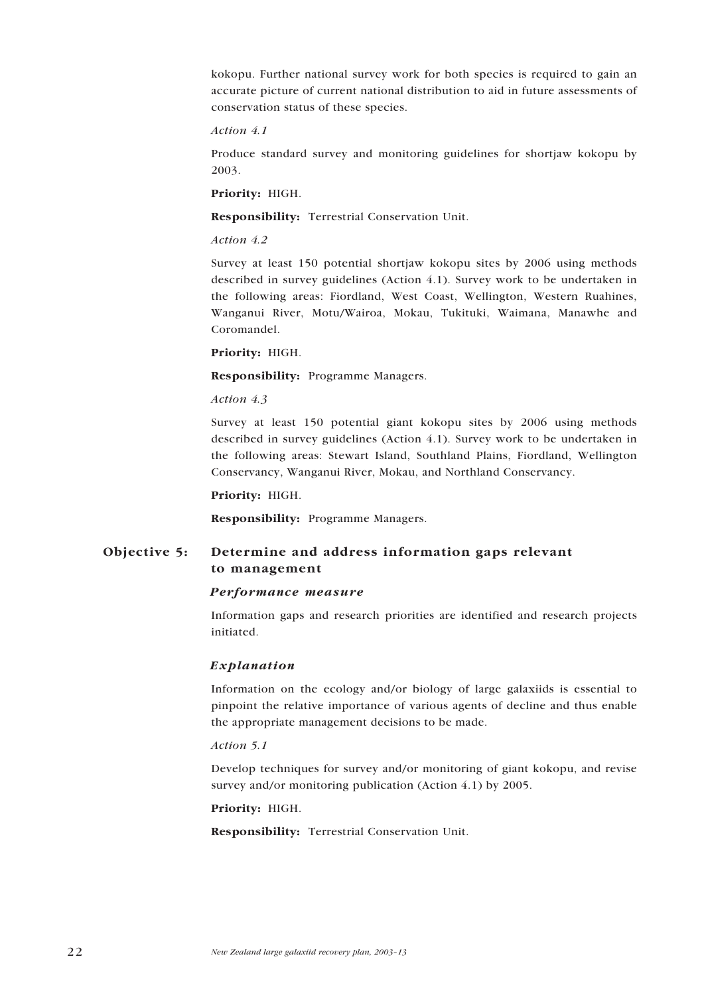kokopu. Further national survey work for both species is required to gain an accurate picture of current national distribution to aid in future assessments of conservation status of these species.

#### *Action 4.1*

Produce standard survey and monitoring guidelines for shortjaw kokopu by 2003.

#### Priority: HIGH.

Responsibility: Terrestrial Conservation Unit.

#### *Action 4.2*

Survey at least 150 potential shortjaw kokopu sites by 2006 using methods described in survey guidelines (Action 4.1). Survey work to be undertaken in the following areas: Fiordland, West Coast, Wellington, Western Ruahines, Wanganui River, Motu/Wairoa, Mokau, Tukituki, Waimana, Manawhe and Coromandel.

#### Priority: HIGH.

Responsibility: Programme Managers.

#### *Action 4.3*

Survey at least 150 potential giant kokopu sites by 2006 using methods described in survey guidelines (Action 4.1). Survey work to be undertaken in the following areas: Stewart Island, Southland Plains, Fiordland, Wellington Conservancy, Wanganui River, Mokau, and Northland Conservancy.

#### Priority: HIGH.

Responsibility: Programme Managers.

### Objective 5: Determine and address information gaps relevant to management

#### *Performance measure*

Information gaps and research priorities are identified and research projects initiated.

#### *Explanation*

Information on the ecology and/or biology of large galaxiids is essential to pinpoint the relative importance of various agents of decline and thus enable the appropriate management decisions to be made.

#### *Action 5.1*

Develop techniques for survey and/or monitoring of giant kokopu, and revise survey and/or monitoring publication (Action 4.1) by 2005.

#### Priority: HIGH.

Responsibility: Terrestrial Conservation Unit.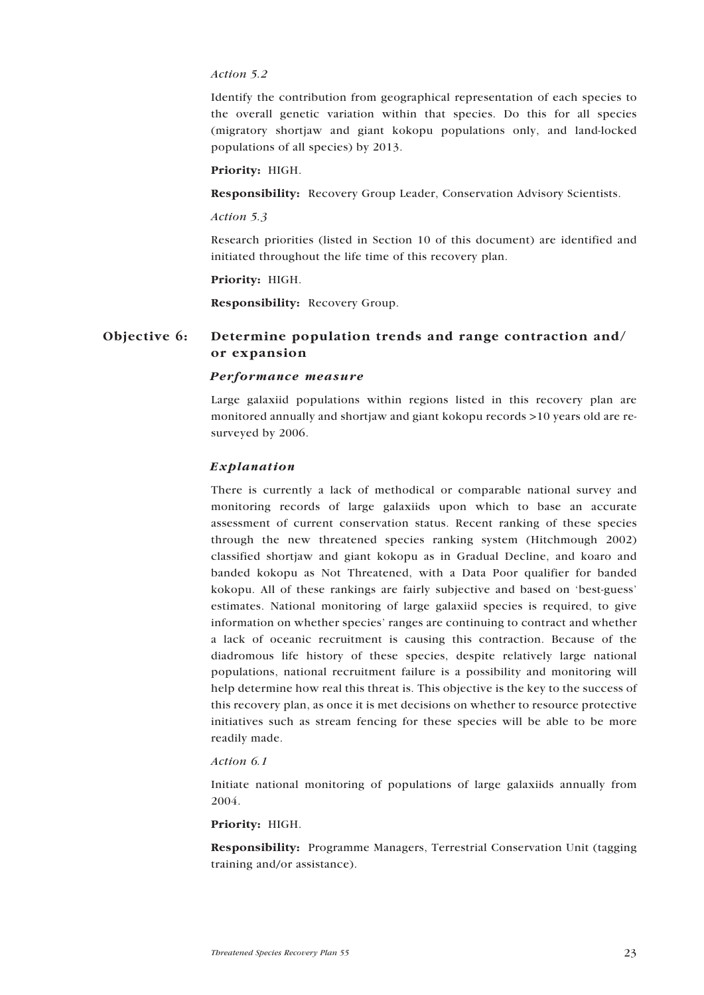#### *Action 5.2*

Identify the contribution from geographical representation of each species to the overall genetic variation within that species. Do this for all species (migratory shortjaw and giant kokopu populations only, and land-locked populations of all species) by 2013.

#### Priority: HIGH.

Responsibility: Recovery Group Leader, Conservation Advisory Scientists.

#### *Action 5.3*

Research priorities (listed in Section 10 of this document) are identified and initiated throughout the life time of this recovery plan.

#### Priority: HIGH.

Responsibility: Recovery Group.

### Objective 6: Determine population trends and range contraction and/ or expansion

#### *Performance measure*

Large galaxiid populations within regions listed in this recovery plan are monitored annually and shortjaw and giant kokopu records >10 years old are resurveyed by 2006.

#### *Explanation*

There is currently a lack of methodical or comparable national survey and monitoring records of large galaxiids upon which to base an accurate assessment of current conservation status. Recent ranking of these species through the new threatened species ranking system (Hitchmough 2002) classified shortjaw and giant kokopu as in Gradual Decline, and koaro and banded kokopu as Not Threatened, with a Data Poor qualifier for banded kokopu. All of these rankings are fairly subjective and based on 'best-guess' estimates. National monitoring of large galaxiid species is required, to give information on whether species' ranges are continuing to contract and whether a lack of oceanic recruitment is causing this contraction. Because of the diadromous life history of these species, despite relatively large national populations, national recruitment failure is a possibility and monitoring will help determine how real this threat is. This objective is the key to the success of this recovery plan, as once it is met decisions on whether to resource protective initiatives such as stream fencing for these species will be able to be more readily made.

#### *Action 6.1*

Initiate national monitoring of populations of large galaxiids annually from 2004.

#### Priority: HIGH.

Responsibility: Programme Managers, Terrestrial Conservation Unit (tagging training and/or assistance).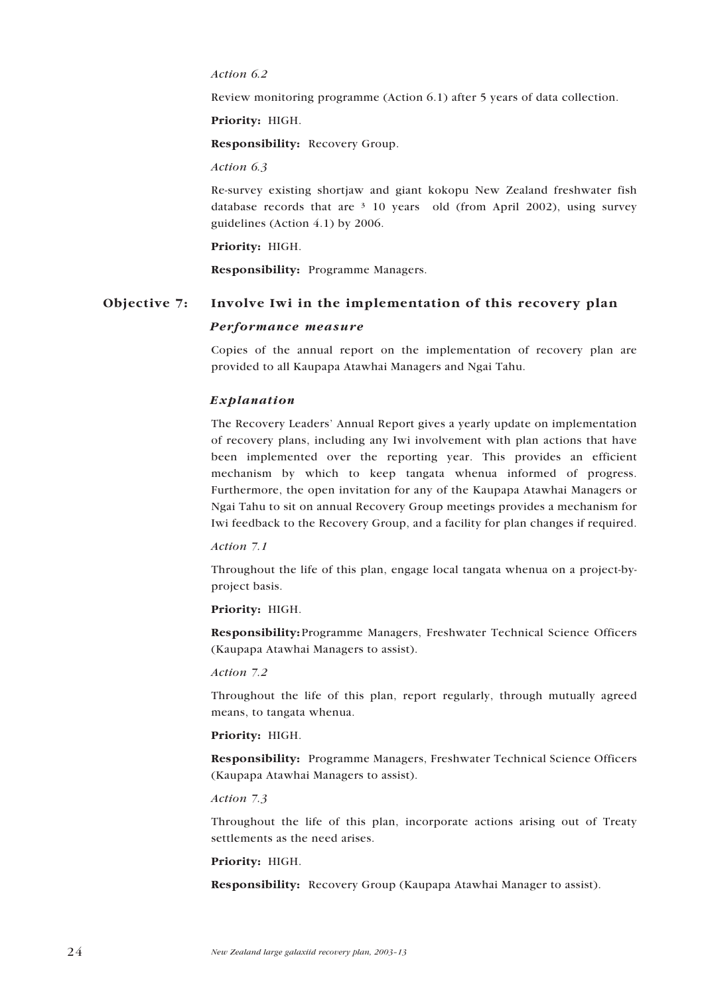#### *Action 6.2*

Review monitoring programme (Action 6.1) after 5 years of data collection.

Priority: HIGH.

Responsibility: Recovery Group.

*Action 6.3*

Re-survey existing shortjaw and giant kokopu New Zealand freshwater fish database records that are  $3\overline{10}$  years old (from April 2002), using survey guidelines (Action 4.1) by 2006.

#### Priority: HIGH.

Responsibility: Programme Managers.

## Objective 7: Involve Iwi in the implementation of this recovery plan *Performance measure*

Copies of the annual report on the implementation of recovery plan are provided to all Kaupapa Atawhai Managers and Ngai Tahu.

#### *Explanation*

The Recovery Leaders' Annual Report gives a yearly update on implementation of recovery plans, including any Iwi involvement with plan actions that have been implemented over the reporting year. This provides an efficient mechanism by which to keep tangata whenua informed of progress. Furthermore, the open invitation for any of the Kaupapa Atawhai Managers or Ngai Tahu to sit on annual Recovery Group meetings provides a mechanism for Iwi feedback to the Recovery Group, and a facility for plan changes if required.

#### *Action 7.1*

Throughout the life of this plan, engage local tangata whenua on a project-byproject basis.

#### **Priority:** HIGH.

**Responsibility:**Programme Managers, Freshwater Technical Science Officers (Kaupapa Atawhai Managers to assist).

#### *Action 7.2*

Throughout the life of this plan, report regularly, through mutually agreed means, to tangata whenua.

#### Priority: HIGH.

Responsibility: Programme Managers, Freshwater Technical Science Officers (Kaupapa Atawhai Managers to assist).

#### *Action 7.3*

Throughout the life of this plan, incorporate actions arising out of Treaty settlements as the need arises.

#### Priority: HIGH.

Responsibility: Recovery Group (Kaupapa Atawhai Manager to assist).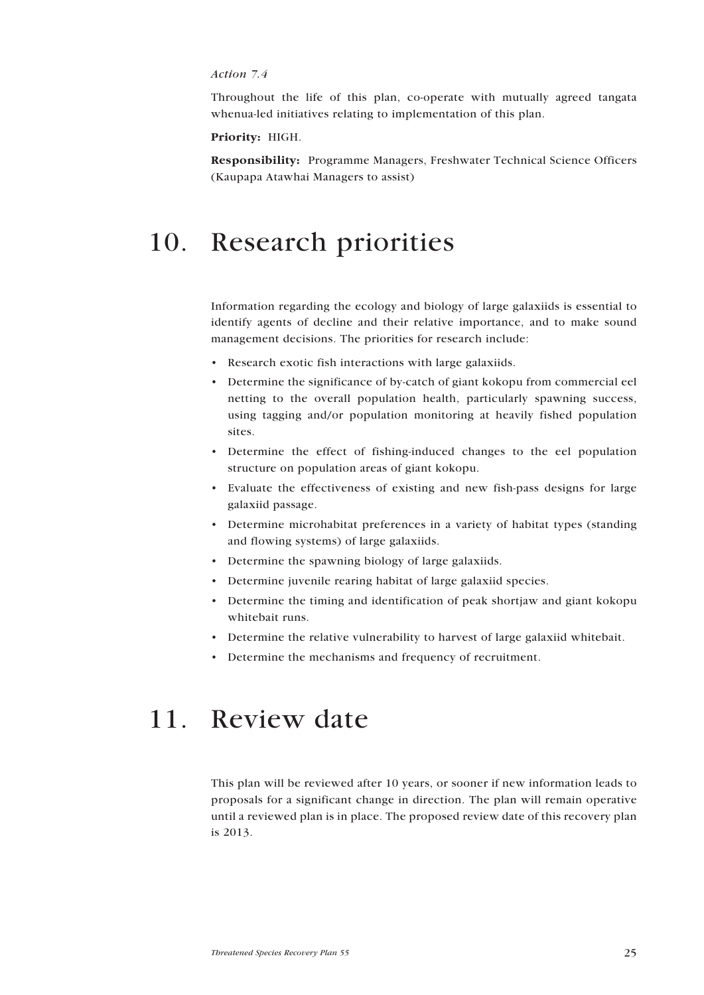#### *Action 7.4*

Throughout the life of this plan, co-operate with mutually agreed tangata whenua-led initiatives relating to implementation of this plan.

#### Priority: HIGH.

Responsibility: Programme Managers, Freshwater Technical Science Officers (Kaupapa Atawhai Managers to assist)

## 10. Research priorities

Information regarding the ecology and biology of large galaxiids is essential to identify agents of decline and their relative importance, and to make sound management decisions. The priorities for research include:

- Research exotic fish interactions with large galaxiids.
- Determine the significance of by-catch of giant kokopu from commercial eel netting to the overall population health, particularly spawning success, using tagging and/or population monitoring at heavily fished population sites.
- Determine the effect of fishing-induced changes to the eel population structure on population areas of giant kokopu.
- Evaluate the effectiveness of existing and new fish-pass designs for large galaxiid passage.
- Determine microhabitat preferences in a variety of habitat types (standing and flowing systems) of large galaxiids.
- Determine the spawning biology of large galaxiids.
- Determine juvenile rearing habitat of large galaxiid species.
- Determine the timing and identification of peak shortjaw and giant kokopu whitebait runs.
- Determine the relative vulnerability to harvest of large galaxiid whitebait.
- Determine the mechanisms and frequency of recruitment.

## 11. Review date

This plan will be reviewed after 10 years, or sooner if new information leads to proposals for a significant change in direction. The plan will remain operative until a reviewed plan is in place. The proposed review date of this recovery plan is 2013.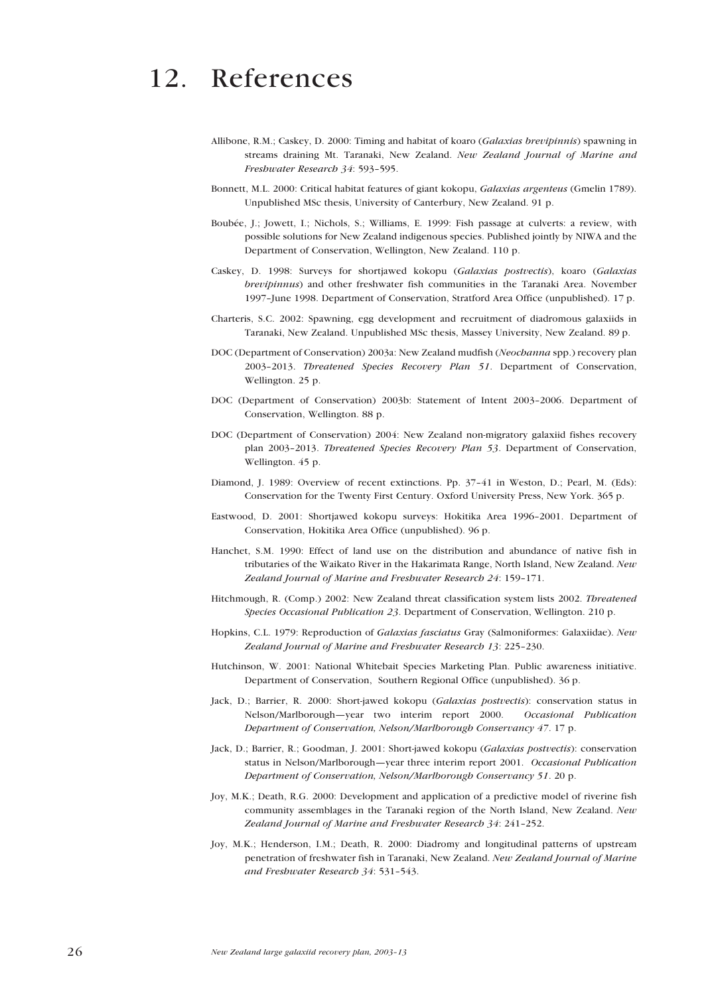## 12. References

- Allibone, R.M.; Caskey, D. 2000: Timing and habitat of koaro (*Galaxias brevipinnis*) spawning in streams draining Mt. Taranaki, New Zealand. *New Zealand Journal of Marine and Freshwater Research 34*: 593–595.
- Bonnett, M.L. 2000: Critical habitat features of giant kokopu, *Galaxias argenteus* (Gmelin 1789). Unpublished MSc thesis, University of Canterbury, New Zealand. 91 p.
- Boubée, J.; Jowett, I.; Nichols, S.; Williams, E. 1999: Fish passage at culverts: a review, with possible solutions for New Zealand indigenous species. Published jointly by NIWA and the Department of Conservation, Wellington, New Zealand. 110 p.
- Caskey, D. 1998: Surveys for shortjawed kokopu (*Galaxias postvectis*), koaro (*Galaxias brevipinnus*) and other freshwater fish communities in the Taranaki Area. November 1997–June 1998. Department of Conservation, Stratford Area Office (unpublished). 17 p.
- Charteris, S.C. 2002: Spawning, egg development and recruitment of diadromous galaxiids in Taranaki, New Zealand. Unpublished MSc thesis, Massey University, New Zealand. 89 p.
- DOC (Department of Conservation) 2003a: New Zealand mudfish (*Neochanna* spp.) recovery plan 2003–2013. *Threatened Species Recovery Plan 51*. Department of Conservation, Wellington. 25 p.
- DOC (Department of Conservation) 2003b: Statement of Intent 2003–2006. Department of Conservation, Wellington. 88 p.
- DOC (Department of Conservation) 2004: New Zealand non-migratory galaxiid fishes recovery plan 2003–2013. *Threatened Species Recovery Plan 53*. Department of Conservation, Wellington. 45 p.
- Diamond, J. 1989: Overview of recent extinctions. Pp. 37–41 in Weston, D.; Pearl, M. (Eds): Conservation for the Twenty First Century. Oxford University Press, New York. 365 p.
- Eastwood, D. 2001: Shortjawed kokopu surveys: Hokitika Area 1996–2001. Department of Conservation, Hokitika Area Office (unpublished). 96 p.
- Hanchet, S.M. 1990: Effect of land use on the distribution and abundance of native fish in tributaries of the Waikato River in the Hakarimata Range, North Island, New Zealand. *New Zealand Journal of Marine and Freshwater Research 24*: 159–171.
- Hitchmough, R. (Comp.) 2002: New Zealand threat classification system lists 2002. *Threatened Species Occasional Publication 23*. Department of Conservation, Wellington. 210 p.
- Hopkins, C.L. 1979: Reproduction of *Galaxias fasciatus* Gray (Salmoniformes: Galaxiidae). *New Zealand Journal of Marine and Freshwater Research 13*: 225–230.
- Hutchinson, W. 2001: National Whitebait Species Marketing Plan. Public awareness initiative. Department of Conservation, Southern Regional Office (unpublished). 36 p.
- Jack, D.; Barrier, R. 2000: Short-jawed kokopu (*Galaxias postvectis*): conservation status in Nelson/Marlborough—year two interim report 2000. *Occasional Publication Department of Conservation, Nelson/Marlborough Conservancy 47*. 17 p.
- Jack, D.; Barrier, R.; Goodman, J. 2001: Short-jawed kokopu (*Galaxias postvectis*): conservation status in Nelson/Marlborough—year three interim report 2001. *Occasional Publication Department of Conservation, Nelson/Marlborough Conservancy 51*. 20 p.
- Joy, M.K.; Death, R.G. 2000: Development and application of a predictive model of riverine fish community assemblages in the Taranaki region of the North Island, New Zealand. *New Zealand Journal of Marine and Freshwater Research 34*: 241–252.
- Joy, M.K.; Henderson, I.M.; Death, R. 2000: Diadromy and longitudinal patterns of upstream penetration of freshwater fish in Taranaki, New Zealand. *New Zealand Journal of Marine and Freshwater Research 34*: 531–543.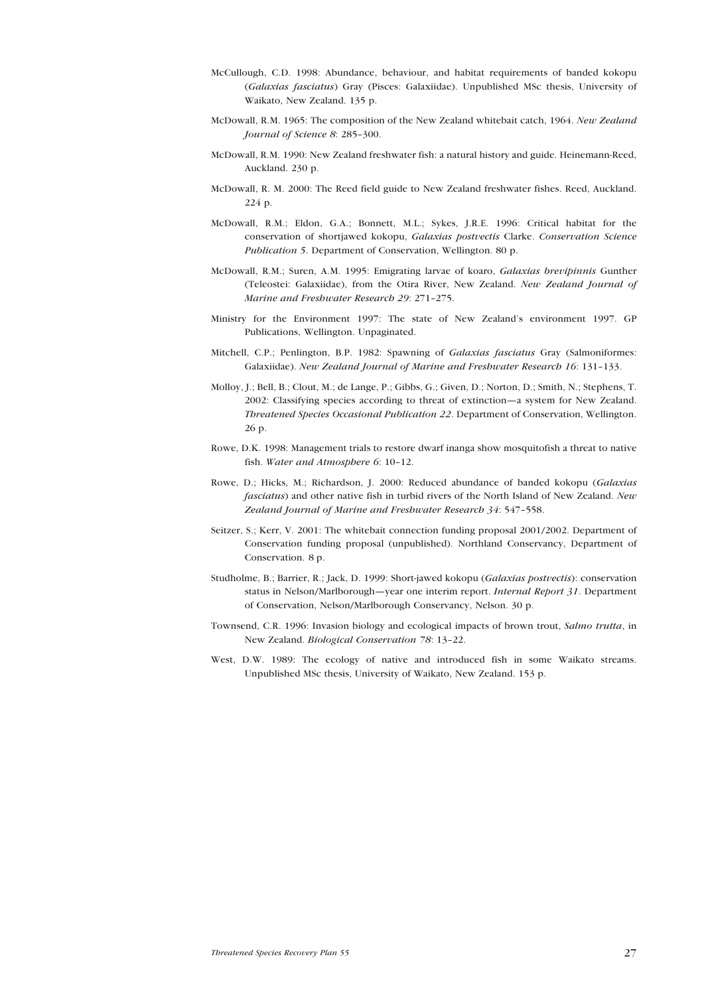- McCullough, C.D. 1998: Abundance, behaviour, and habitat requirements of banded kokopu (*Galaxias fasciatus*) Gray (Pisces: Galaxiidae). Unpublished MSc thesis, University of Waikato, New Zealand. 135 p.
- McDowall, R.M. 1965: The composition of the New Zealand whitebait catch, 1964. *New Zealand Journal of Science 8*: 285–300.
- McDowall, R.M. 1990: New Zealand freshwater fish: a natural history and guide. Heinemann-Reed, Auckland. 230 p.
- McDowall, R. M. 2000: The Reed field guide to New Zealand freshwater fishes. Reed, Auckland. 224 p.
- McDowall, R.M.; Eldon, G.A.; Bonnett, M.L.; Sykes, J.R.E. 1996: Critical habitat for the conservation of shortjawed kokopu, *Galaxias postvectis* Clarke. *Conservation Science Publication 5*. Department of Conservation, Wellington. 80 p.
- McDowall, R.M.; Suren, A.M. 1995: Emigrating larvae of koaro, *Galaxias brevipinnis* Gunther (Teleostei: Galaxiidae), from the Otira River, New Zealand. *New Zealand Journal of Marine and Freshwater Research 29*: 271–275.
- Ministry for the Environment 1997: The state of New Zealand's environment 1997. GP Publications, Wellington. Unpaginated.
- Mitchell, C.P.; Penlington, B.P. 1982: Spawning of *Galaxias fasciatus* Gray (Salmoniformes: Galaxiidae). *New Zealand Journal of Marine and Freshwater Research 16*: 131–133.
- Molloy, J.; Bell, B.; Clout, M.; de Lange, P.; Gibbs, G.; Given, D.; Norton, D.; Smith, N.; Stephens, T. 2002: Classifying species according to threat of extinction—a system for New Zealand. *Threatened Species Occasional Publication 22*. Department of Conservation, Wellington. 26 p.
- Rowe, D.K. 1998: Management trials to restore dwarf inanga show mosquitofish a threat to native fish. *Water and Atmosphere 6*: 10–12.
- Rowe, D.; Hicks, M.; Richardson, J. 2000: Reduced abundance of banded kokopu (*Galaxias fasciatus*) and other native fish in turbid rivers of the North Island of New Zealand. *New Zealand Journal of Marine and Freshwater Research 34*: 547–558.
- Seitzer, S.; Kerr, V. 2001: The whitebait connection funding proposal 2001/2002. Department of Conservation funding proposal (unpublished). Northland Conservancy, Department of Conservation. 8 p.
- Studholme, B.; Barrier, R.; Jack, D. 1999: Short-jawed kokopu (*Galaxias postvectis*): conservation status in Nelson/Marlborough—year one interim report. *Internal Report 31*. Department of Conservation, Nelson/Marlborough Conservancy, Nelson. 30 p.
- Townsend, C.R. 1996: Invasion biology and ecological impacts of brown trout, *Salmo trutta*, in New Zealand. *Biological Conservation 78*: 13–22.
- West, D.W. 1989: The ecology of native and introduced fish in some Waikato streams. Unpublished MSc thesis, University of Waikato, New Zealand. 153 p.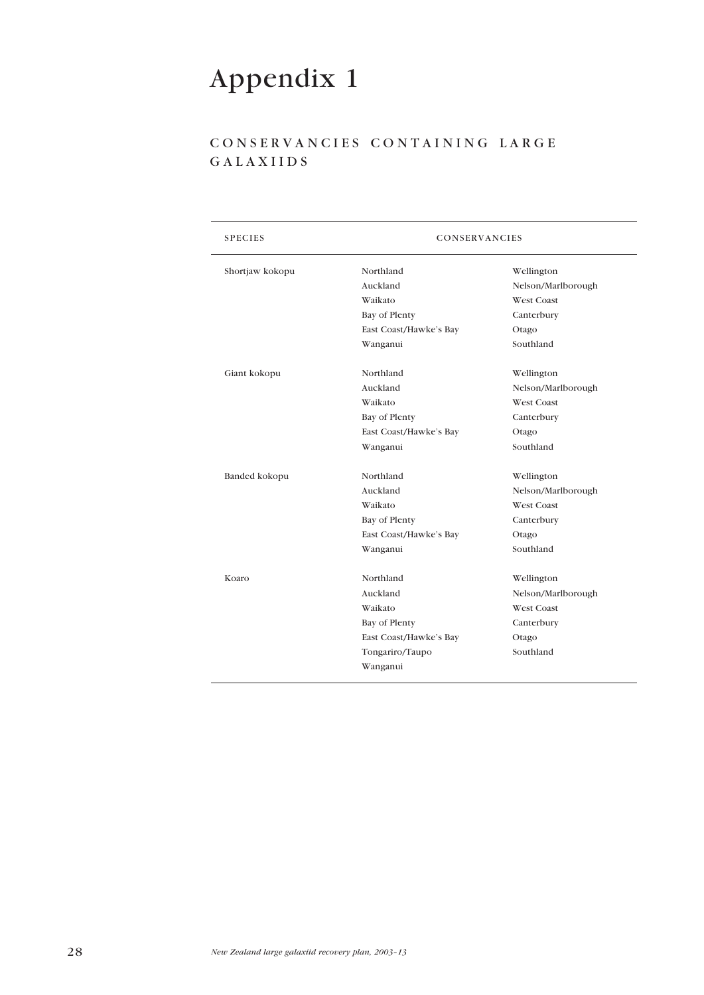# Appendix 1

## CONSERVANCIES CONTAINING LARGE GALAXIIDS

| <b>SPECIES</b>  | CONSERVANCIES          |                    |  |
|-----------------|------------------------|--------------------|--|
| Shortjaw kokopu | Northland              | Wellington         |  |
|                 | Auckland               | Nelson/Marlborough |  |
|                 | Waikato                | West Coast         |  |
|                 | Bay of Plenty          | Canterbury         |  |
|                 | East Coast/Hawke's Bay | Otago              |  |
|                 | Wanganui               | Southland          |  |
| Giant kokopu    | Northland              | Wellington         |  |
|                 | Auckland               | Nelson/Marlborough |  |
|                 | Waikato                | <b>West Coast</b>  |  |
|                 | Bay of Plenty          | Canterbury         |  |
|                 | East Coast/Hawke's Bay | Otago              |  |
|                 | Wanganui               | Southland          |  |
| Banded kokopu   | Northland              | Wellington         |  |
|                 | Auckland               | Nelson/Marlborough |  |
|                 | Waikato                | West Coast         |  |
|                 | Bay of Plenty          | Canterbury         |  |
|                 | East Coast/Hawke's Bay | Otago              |  |
|                 | Wanganui               | Southland          |  |
| Koaro           | Northland              | Wellington         |  |
|                 | Auckland               | Nelson/Marlborough |  |
|                 | Waikato                | West Coast         |  |
|                 | Bay of Plenty          | Canterbury         |  |
|                 | East Coast/Hawke's Bay | Otago              |  |
|                 | Tongariro/Taupo        | Southland          |  |
|                 | Wanganui               |                    |  |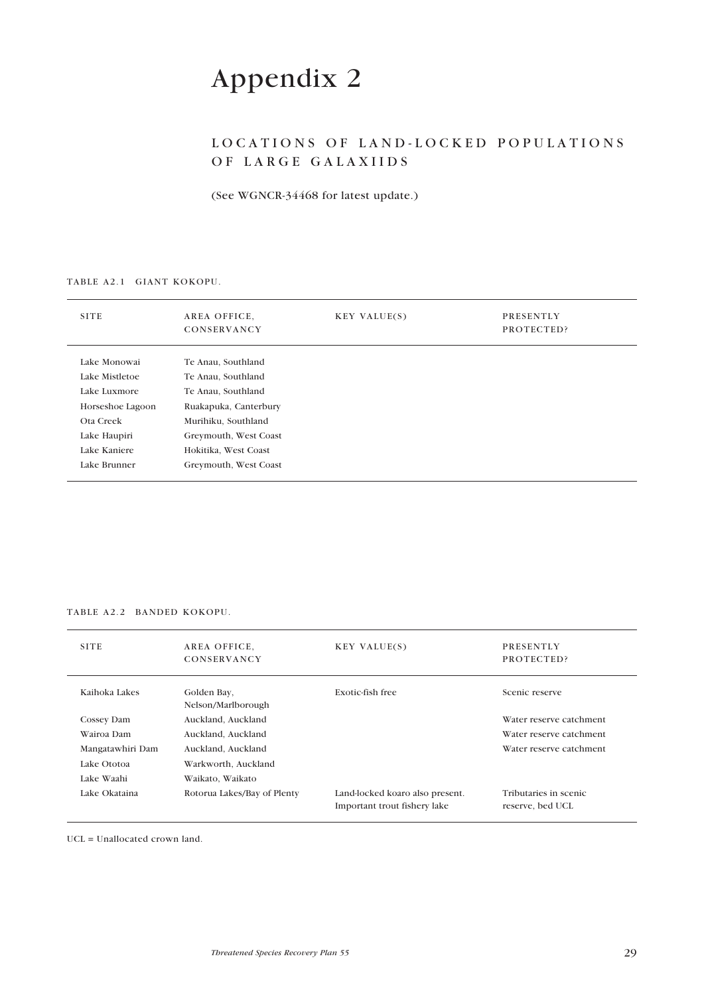# Appendix 2

## LOCATIONS OF LAND-LOCKED POPULATIONS OF LARGE GALAXIIDS

(See WGNCR-34468 for latest update.)

#### TABLE A2.1 GIANT KOKOPU.

| <b>SITE</b>      | AREA OFFICE,<br>CONSERVANCY | <b>KEY VALUE(S)</b> | PRESENTLY<br>PROTECTED? |
|------------------|-----------------------------|---------------------|-------------------------|
| Lake Monowai     | Te Anau, Southland          |                     |                         |
| Lake Mistletoe   | Te Anau, Southland          |                     |                         |
| Lake Luxmore     | Te Anau, Southland          |                     |                         |
| Horseshoe Lagoon | Ruakapuka, Canterbury       |                     |                         |
| Ota Creek        | Murihiku, Southland         |                     |                         |
| Lake Haupiri     | Greymouth, West Coast       |                     |                         |
| Lake Kaniere     | Hokitika, West Coast        |                     |                         |
| Lake Brunner     | Greymouth, West Coast       |                     |                         |
|                  |                             |                     |                         |

#### TABLE A2.2 BANDED KOKOPU.

| <b>SITE</b>      | AREA OFFICE.<br>CONSERVANCY       | <b>KEY VALUE(S)</b>                                             | <b>PRESENTLY</b><br>PROTECTED?            |
|------------------|-----------------------------------|-----------------------------------------------------------------|-------------------------------------------|
| Kaihoka Lakes    | Golden Bay,<br>Nelson/Marlborough | Exotic-fish free                                                | Scenic reserve                            |
| Cossey Dam       | Auckland, Auckland                |                                                                 | Water reserve catchment                   |
| Wairoa Dam       | Auckland, Auckland                |                                                                 | Water reserve catchment                   |
| Mangatawhiri Dam | Auckland, Auckland                |                                                                 | Water reserve catchment                   |
| Lake Ototoa      | Warkworth, Auckland               |                                                                 |                                           |
| Lake Waahi       | Waikato, Waikato                  |                                                                 |                                           |
| Lake Okataina    | Rotorua Lakes/Bay of Plenty       | Land-locked koaro also present.<br>Important trout fishery lake | Tributaries in scenic<br>reserve, bed UCL |

UCL = Unallocated crown land.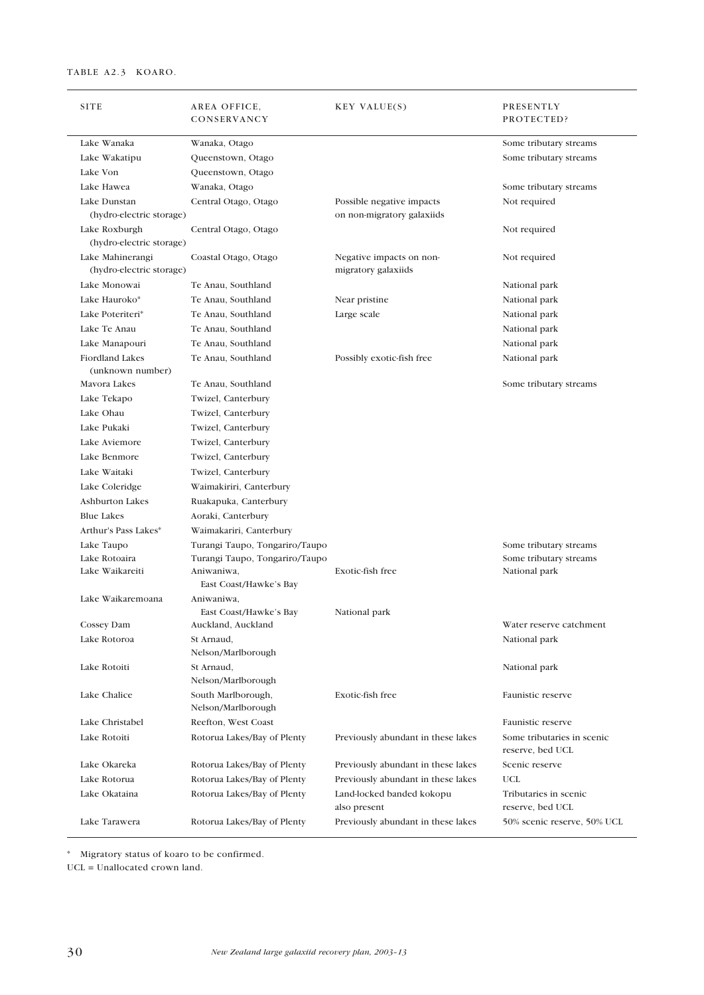**Contract Contract** 

| <b>SITE</b>                                  | AREA OFFICE,<br>CONSERVANCY              | KEY VALUE(S)                                    | PRESENTLY<br>PROTECTED?                        |
|----------------------------------------------|------------------------------------------|-------------------------------------------------|------------------------------------------------|
| Lake Wanaka                                  | Wanaka, Otago                            |                                                 | Some tributary streams                         |
| Lake Wakatipu                                | Queenstown, Otago                        |                                                 | Some tributary streams                         |
| Lake Von                                     | Queenstown, Otago                        |                                                 |                                                |
| Lake Hawea                                   | Wanaka, Otago                            |                                                 | Some tributary streams                         |
| Lake Dunstan                                 | Central Otago, Otago                     | Possible negative impacts                       | Not required                                   |
| (hydro-electric storage)                     |                                          | on non-migratory galaxiids                      |                                                |
| Lake Roxburgh<br>(hydro-electric storage)    | Central Otago, Otago                     |                                                 | Not required                                   |
| Lake Mahinerangi<br>(hydro-electric storage) | Coastal Otago, Otago                     | Negative impacts on non-<br>migratory galaxiids | Not required                                   |
| Lake Monowai                                 | Te Anau, Southland                       |                                                 | National park                                  |
| Lake Hauroko*                                | Te Anau, Southland                       | Near pristine                                   | National park                                  |
| Lake Poteriteri*                             | Te Anau, Southland                       | Large scale                                     | National park                                  |
| Lake Te Anau                                 | Te Anau, Southland                       |                                                 | National park                                  |
| Lake Manapouri                               | Te Anau, Southland                       |                                                 | National park                                  |
| Fiordland Lakes<br>(unknown number)          | Te Anau, Southland                       | Possibly exotic-fish free                       | National park                                  |
| Mavora Lakes                                 | Te Anau, Southland                       |                                                 | Some tributary streams                         |
| Lake Tekapo                                  | Twizel, Canterbury                       |                                                 |                                                |
| Lake Ohau                                    | Twizel, Canterbury                       |                                                 |                                                |
| Lake Pukaki                                  | Twizel, Canterbury                       |                                                 |                                                |
| Lake Aviemore                                | Twizel, Canterbury                       |                                                 |                                                |
| Lake Benmore                                 | Twizel, Canterbury                       |                                                 |                                                |
| Lake Waitaki                                 | Twizel, Canterbury                       |                                                 |                                                |
| Lake Coleridge                               | Waimakiriri, Canterbury                  |                                                 |                                                |
| Ashburton Lakes                              | Ruakapuka, Canterbury                    |                                                 |                                                |
| <b>Blue Lakes</b>                            | Aoraki, Canterbury                       |                                                 |                                                |
| Arthur's Pass Lakes*                         | Waimakariri, Canterbury                  |                                                 |                                                |
| Lake Taupo                                   | Turangi Taupo, Tongariro/Taupo           |                                                 | Some tributary streams                         |
| Lake Rotoaira                                | Turangi Taupo, Tongariro/Taupo           |                                                 | Some tributary streams                         |
| Lake Waikareiti                              | Aniwaniwa,<br>East Coast/Hawke's Bay     | Exotic-fish free                                | National park                                  |
| Lake Waikaremoana                            | Aniwaniwa,<br>East Coast/Hawke's Bay     | National park                                   |                                                |
| Cossey Dam                                   | Auckland, Auckland                       |                                                 | Water reserve catchment                        |
| Lake Rotoroa                                 | St Arnaud,<br>Nelson/Marlborough         |                                                 | National park                                  |
| Lake Rotoiti                                 | St Arnaud,                               |                                                 | National park                                  |
|                                              | Nelson/Marlborough                       |                                                 |                                                |
| Lake Chalice                                 | South Marlborough,<br>Nelson/Marlborough | Exotic-fish free                                | Faunistic reserve                              |
| Lake Christabel                              | Reefton, West Coast                      |                                                 | Faunistic reserve                              |
| Lake Rotoiti                                 | Rotorua Lakes/Bay of Plenty              | Previously abundant in these lakes              | Some tributaries in scenic<br>reserve, bed UCL |
| Lake Okareka                                 | Rotorua Lakes/Bay of Plenty              | Previously abundant in these lakes              | Scenic reserve                                 |
| Lake Rotorua                                 | Rotorua Lakes/Bay of Plenty              | Previously abundant in these lakes              | <b>UCL</b>                                     |
| Lake Okataina                                | Rotorua Lakes/Bay of Plenty              | Land-locked banded kokopu                       | Tributaries in scenic                          |
|                                              |                                          | also present                                    | reserve, bed UCL                               |
| Lake Tarawera                                | Rotorua Lakes/Bay of Plenty              | Previously abundant in these lakes              | 50% scenic reserve, 50% UCL                    |

\* Migratory status of koaro to be confirmed.

UCL = Unallocated crown land.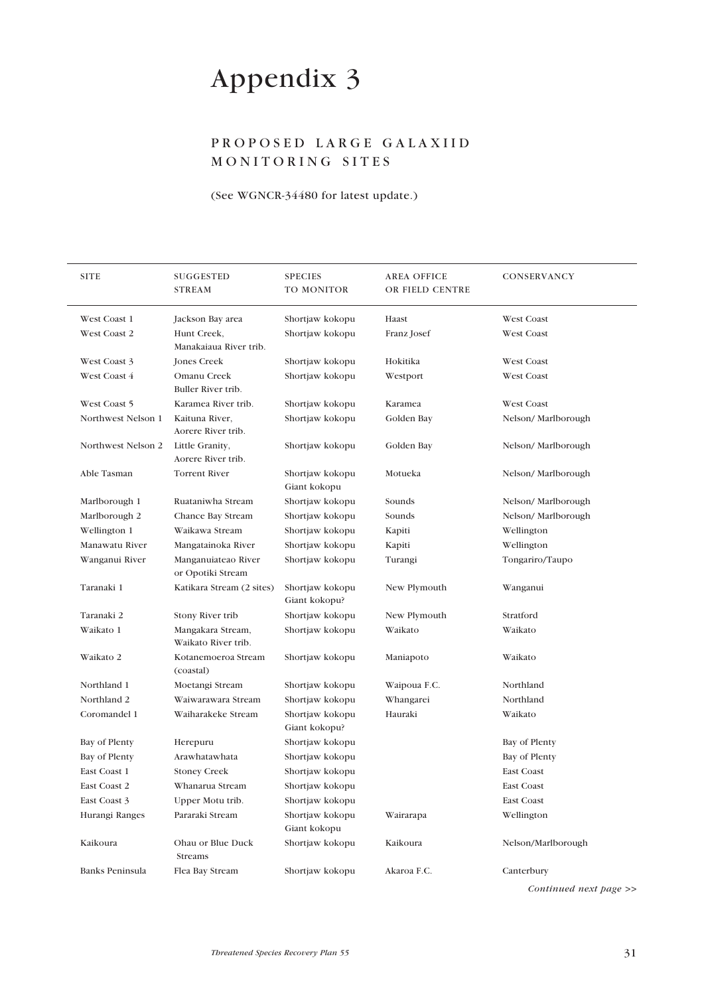# Appendix 3

## PROPOSED LARGE GALAXIID MONITORING SITES

#### (See WGNCR-34480 for latest update.)

| <b>SITE</b>        | SUGGESTED<br><b>STREAM</b>               | <b>SPECIES</b><br>TO MONITOR     | <b>AREA OFFICE</b><br>OR FIELD CENTRE | CONSERVANCY            |
|--------------------|------------------------------------------|----------------------------------|---------------------------------------|------------------------|
| West Coast 1       | Jackson Bay area                         | Shortjaw kokopu                  | Haast                                 | <b>West Coast</b>      |
| West Coast 2       | Hunt Creek,<br>Manakaiaua River trib.    | Shortjaw kokopu                  | Franz Josef                           | <b>West Coast</b>      |
| West Coast 3       | <b>Jones Creek</b>                       | Shortjaw kokopu                  | Hokitika                              | <b>West Coast</b>      |
| West Coast 4       | Omanu Creek<br>Buller River trib.        | Shortjaw kokopu                  | Westport                              | <b>West Coast</b>      |
| West Coast 5       | Karamea River trib.                      | Shortjaw kokopu                  | Karamea                               | <b>West Coast</b>      |
| Northwest Nelson 1 | Kaituna River,<br>Aorere River trib.     | Shortjaw kokopu                  | Golden Bay                            | Nelson/Marlborough     |
| Northwest Nelson 2 | Little Granity,<br>Aorere River trib.    | Shortjaw kokopu                  | Golden Bay                            | Nelson/Marlborough     |
| Able Tasman        | <b>Torrent River</b>                     | Shortjaw kokopu<br>Giant kokopu  | Motueka                               | Nelson/Marlborough     |
| Marlborough 1      | Ruataniwha Stream                        | Shortjaw kokopu                  | Sounds                                | Nelson/Marlborough     |
| Marlborough 2      | Chance Bay Stream                        | Shortjaw kokopu                  | Sounds                                | Nelson/Marlborough     |
| Wellington 1       | Waikawa Stream                           | Shortjaw kokopu                  | Kapiti                                | Wellington             |
| Manawatu River     | Mangatainoka River                       | Shortjaw kokopu                  | Kapiti                                | Wellington             |
| Wanganui River     | Manganuiateao River<br>or Opotiki Stream | Shortjaw kokopu                  | Turangi                               | Tongariro/Taupo        |
| Taranaki 1         | Katikara Stream (2 sites)                | Shortjaw kokopu<br>Giant kokopu? | New Plymouth                          | Wanganui               |
| Taranaki 2         | Stony River trib                         | Shortjaw kokopu                  | New Plymouth                          | Stratford              |
| Waikato 1          | Mangakara Stream,<br>Waikato River trib. | Shortjaw kokopu                  | Waikato                               | Waikato                |
| Waikato 2          | Kotanemoeroa Stream<br>(coastal)         | Shortjaw kokopu                  | Maniapoto                             | Waikato                |
| Northland 1        | Moetangi Stream                          | Shortjaw kokopu                  | Waipoua F.C.                          | Northland              |
| Northland 2        | Waiwarawara Stream                       | Shortjaw kokopu                  | Whangarei                             | Northland              |
| Coromandel 1       | Waiharakeke Stream                       | Shortjaw kokopu<br>Giant kokopu? | Hauraki                               | Waikato                |
| Bay of Plenty      | Herepuru                                 | Shortjaw kokopu                  |                                       | Bay of Plenty          |
| Bay of Plenty      | Arawhatawhata                            | Shortjaw kokopu                  |                                       | Bay of Plenty          |
| East Coast 1       | <b>Stoney Creek</b>                      | Shortjaw kokopu                  |                                       | East Coast             |
| East Coast 2       | Whanarua Stream                          | Shortjaw kokopu                  |                                       | East Coast             |
| East Coast 3       | Upper Motu trib.                         | Shortjaw kokopu                  |                                       | <b>East Coast</b>      |
| Hurangi Ranges     | Pararaki Stream                          | Shortjaw kokopu<br>Giant kokopu  | Wairarapa                             | Wellington             |
| Kaikoura           | Ohau or Blue Duck<br>Streams             | Shortjaw kokopu                  | Kaikoura                              | Nelson/Marlborough     |
| Banks Peninsula    | Flea Bay Stream                          | Shortjaw kokopu                  | Akaroa F.C.                           | Canterbury             |
|                    |                                          |                                  |                                       | Continued next page >> |

*Threatened Species Recovery Plan 55* 31